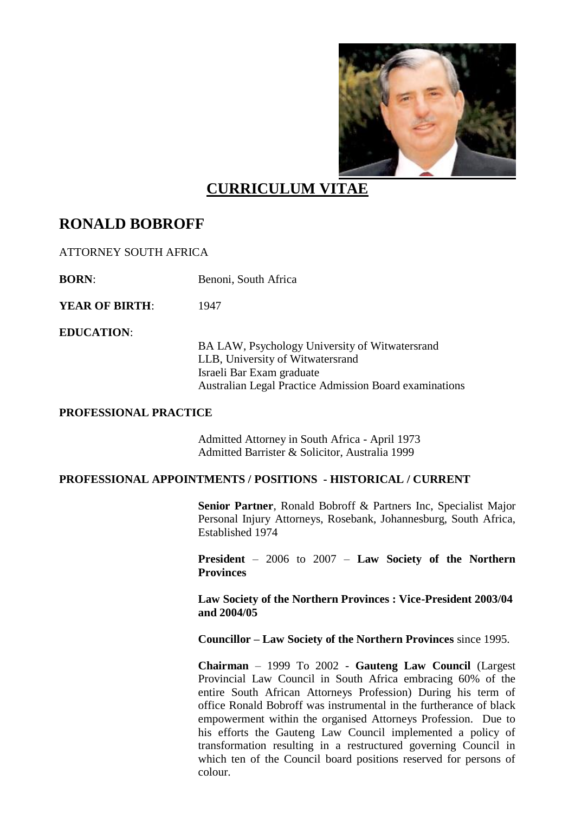

# **CURRICULUM VITAE**

## **RONALD BOBROFF**

ATTORNEY SOUTH AFRICA

**BORN:** Benoni, South Africa

**YEAR OF BIRTH:** 1947

**EDUCATION**:

BA LAW, Psychology University of Witwatersrand LLB, University of Witwatersrand Israeli Bar Exam graduate Australian Legal Practice Admission Board examinations

#### **PROFESSIONAL PRACTICE**

Admitted Attorney in South Africa - April 1973 Admitted Barrister & Solicitor, Australia 1999

#### **PROFESSIONAL APPOINTMENTS / POSITIONS - HISTORICAL / CURRENT**

**Senior Partner**, Ronald Bobroff & Partners Inc, Specialist Major Personal Injury Attorneys, Rosebank, Johannesburg, South Africa, Established 1974

**President** – 2006 to 2007 – **Law Society of the Northern Provinces** 

**Law Society of the Northern Provinces : Vice-President 2003/04 and 2004/05**

**Councillor – Law Society of the Northern Provinces** since 1995.

**Chairman** – 1999 To 2002 - **Gauteng Law Council** (Largest Provincial Law Council in South Africa embracing 60% of the entire South African Attorneys Profession) During his term of office Ronald Bobroff was instrumental in the furtherance of black empowerment within the organised Attorneys Profession. Due to his efforts the Gauteng Law Council implemented a policy of transformation resulting in a restructured governing Council in which ten of the Council board positions reserved for persons of colour.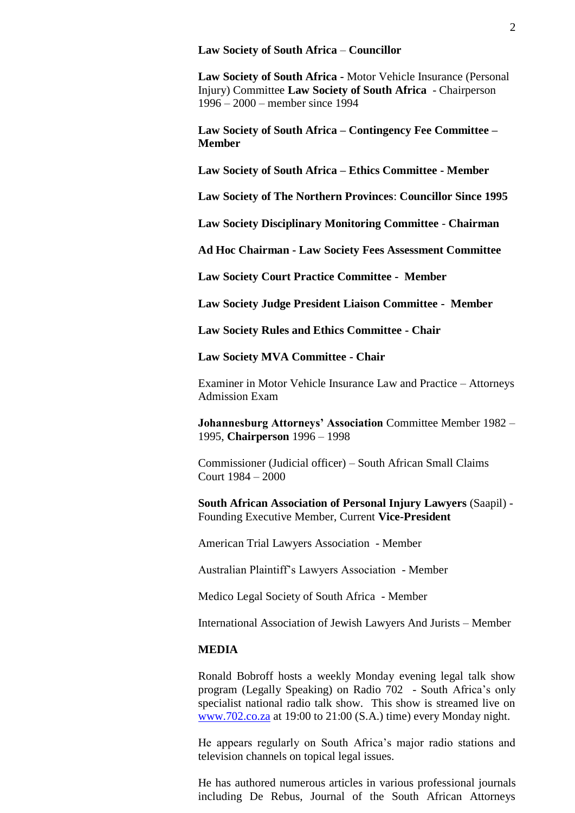#### **Law Society of South Africa** – **Councillor**

**Law Society of South Africa -** Motor Vehicle Insurance (Personal Injury) Committee **Law Society of South Africa** - Chairperson 1996 – 2000 – member since 1994

**Law Society of South Africa – Contingency Fee Committee – Member**

**Law Society of South Africa – Ethics Committee - Member**

**Law Society of The Northern Provinces**: **Councillor Since 1995**

**Law Society Disciplinary Monitoring Committee** - **Chairman**

**Ad Hoc Chairman - Law Society Fees Assessment Committee**

**Law Society Court Practice Committee - Member**

**Law Society Judge President Liaison Committee - Member**

**Law Society Rules and Ethics Committee - Chair**

**Law Society MVA Committee - Chair**

Examiner in Motor Vehicle Insurance Law and Practice – Attorneys Admission Exam

**Johannesburg Attorneys' Association** Committee Member 1982 – 1995, **Chairperson** 1996 – 1998

Commissioner (Judicial officer) – South African Small Claims Court 1984 – 2000

**South African Association of Personal Injury Lawyers** (Saapil) - Founding Executive Member, Current **Vice-President**

American Trial Lawyers Association - Member

Australian Plaintiff's Lawyers Association - Member

Medico Legal Society of South Africa - Member

International Association of Jewish Lawyers And Jurists – Member

### **MEDIA**

Ronald Bobroff hosts a weekly Monday evening legal talk show program (Legally Speaking) on Radio 702 - South Africa's only specialist national radio talk show. This show is streamed live on [www.702.co.za](http://www.702.co.za/) at 19:00 to 21:00 (S.A.) time) every Monday night.

He appears regularly on South Africa's major radio stations and television channels on topical legal issues.

He has authored numerous articles in various professional journals including De Rebus, Journal of the South African Attorneys